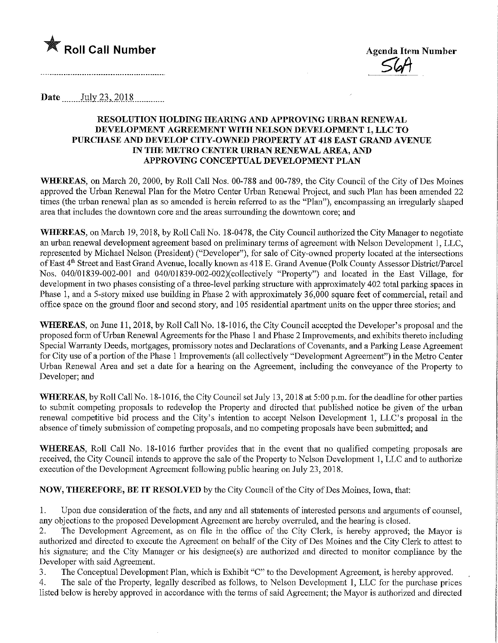

Agenda Item Number

Date *July* 23, 2018

# RESOLUTION HOLDmG HEARING AND APPROVING URBAN RENEWAL DEVELOPMENT AGREEMENT WITH NELSON DEVELOPMENT 1, LLC TO PURCHASE AND DEVELOP CITY-OWNED PROPERTY AT 418 EAST GRAND AVENUE IN THE METRO CENTER URBAN RENEWAL AREA, AND APPROVING CONCEPTUAL DEVELOPMENT PLAN

WHEREAS, on March 20, 2000, by Roll Call Nos. 00-788 and 00-789, the City Council of the City of Des Moines approved the Urban Renewal Plan for the Metro Center Urban Renewal Project, and such Plan has been amended 22 times (the urban renewal plan as so amended is herein referred to as the "Plan"), encompassing an irregularly shaped area that includes the downtown core and the areas surrounding the downtown core; and

WHEREAS, on March 19, 2018, by Roll Call No. 18-0478, the City Council authorized the City Manager to negotiate an urban renewal development agreement based on preliminary terms of agreement with Nelson Development 1, LLC, represented by Michael Nelson (President) ("Developer"), for sale of City-owned property located at the intersections of East 4th Street and East Grand Avenue, locally known as 418 E. Grand Avenue (Polk County Assessor District/Parcel Nos. 040/01839-002-001 and 040/01839-002-002)(collectively "Property") and located in the East Village, for development in two phases consisting of a three-level parking structure with approximately 402 total parking spaces in Phase 1, and a 5-story mixed use building in Phase 2 with approximately 36,000 square feet of commercial, retail and office space on the ground floor and second story, and 105 residential apartment units on the upper three stories; and

WHEREAS, on June 11, 2018, by Roll Call No. 18-1016, the City Council accepted the Developer's proposal and the proposed form of Urban Renewal Agreements for the Phase 1 and Phase 2 Improvements, and exhibits thereto including Special Warranty Deeds, mortgages, promissory notes and Declarations of Covenants, and a Parking Lease Agreement for City use of a portion of the Phase 1 Improvements (all collectively "Development Agreement") in the Metro Center Urban Renewal Area and set a date for a hearing on the Agreement, including the conveyance of the Property to Developer; and

WHEREAS, by Roll Call No. 18-1016, the City Council set July 13, 2018 at 5:00 p.m. for the deadline for other parties to submit competing proposals to redevelop the Property and directed that published notice be given of the urban renewal competitive bid process and the City's intention to accept Nelson Development 1, LLC's proposal in the absence of timely submission of competing proposals, and no competing proposals have been submitted; and

WHEREAS, Roll Call No. 18-1016 further provides that in the event that no qualified competing proposals are received, the City Council intends to approve the sale of the Property to Nelson Development 1, LLC and to authorize execution of the Development Agreement following public hearing on July 23, 2018.

NOW, THEREFORE, BE IT RESOLVED by the City Council of the City of Des Moines, Iowa, that:

1. Upon due consideration of the facts, and any and all statements of interested persons and arguments of counsel, any objections to the proposed Development Agreement are hereby overruled, and the hearing is closed.

2. The Development Agreement, as on file in the office of the City Clerk, is hereby approved; the Mayor is authorized and directed to execute the Agreement on behalf of the City of Des Moines and the City Clerk to attest to his signature; and the City Manager or his designee(s) are authorized and directed to monitor compliance by the Developer with said Agreement.

3. The Conceptual Development Plan, which is Exhibit "C" to the Development Agreement, is hereby approved.

4. The sale of the Property, legally described as follows, to Nelson Development 1, LLC for the purchase prices listed below is hereby approved in accordance with the terms of said Agreement; the Mayor is authorized and directed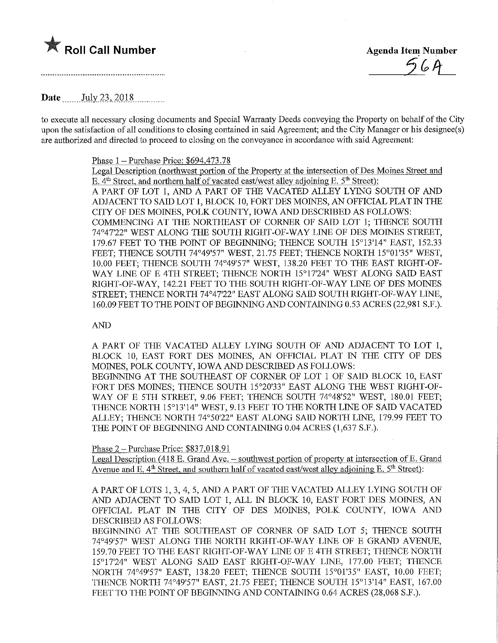# **The Roll Call Number** Agenda Item Number

 $56A$ 

Date July 23, 2018

to execute all necessary closing documents and Special Warranty Deeds conveying the Property on behalf of the City upon the satisfaction of all conditions to closing contained in said Agreement; and the City Manager or his designee(s) are authorized and directed to proceed to closing on the conveyance in accordance with said Agreement:

### Phase  $1 -$  Purchase Price: \$694,473.78

Legal Description (northwest portion of the Property at the intersection of Des Moines Street and E.  $4<sup>th</sup> Street$ , and northern half of vacated east/west alley adjoining E. 5<sup>th</sup> Street): A PART OF LOT 1, AND A PART OF THE VACATED ALLEY LYING SOUTH OF AND ADJACENT TO SAID LOT 1, BLOCK 10, FORT DES MOINES, AN OFFICIAL PLAT IN THE CITY OF DES MOINES, POLK COUNTY, IOWA AND DESCRIBED AS FOLLOWS: COMMENCING AT THE NORTHEAST OF CORNER OF SAID LOT 1; THENCE SOUTH 74°47'22" WEST ALONG THE SOUTH RIGHT-OF-WAY LINE OF DES MOINES STREET, 179.67 FEET TO THE POINT OF BEGINNING; THENCE SOUTH 15°13'14" EAST, 152.33 FEET; THENCE SOUTH 74°49'57" WEST, 21.75 FEET; THENCE NORTH 15°01'35" WEST, 10.00 FEET; THENCE SOUTH 74049'57" WEST, 138.20 FEET TO THE EAST RIGHT-OF-WAY LINE OF E 4TH STREET; THENCE NORTH 15°17'24" WEST ALONG SAID EAST RIGHT-OF-WAY, 142.21 FEET TO THE SOUTH RIGHT-OF-WAY LINE OF DES MOINES STREET; THENCE NORTH 74°47'22" EAST ALONG SAID SOUTH RIGHT-OF-WAY LINE, 160.09 FEET TO THE POINT OF BEGINNING AND CONTAINING 0.53 ACRES (22,981 S.F.).

## AND

A PART OF THE VACATED ALLEY LYING SOUTH OF ANB ADJACENT TO LOT 1, BLOCK 10, EAST FORT DES MOINES, AN OFFICIAL PLAT IN THE CITY OF DES MOINES, POLK COUNTY, IOWA AND DESCRIBED AS FOLLOWS: BEGINNING AT THE SOUTHEAST OF CORNER OF LOT 1 OF SAID BLOCK 10, EAST FORT DES MOINES; THENCE SOUTH 15°20'33" EAST ALONG THE WEST RIGHT-OF-WAY OF E 5TH STREET, 9.06 FEET; THENCE SOUTH 74°48'52" WEST, 180.01 FEET; THENCE NORTH 15°13'14" WEST, 9.13 FEET TO THE NORTH LINE OF SAID VACATED

ALLEY; THENCE NORTH 74°50'22" EAST ALONG SAID NORTH LINE, 179.99 FEET TO THE POINT OF BEGINNING AND CONTAINING 0.04 ACRES (1,637 S.F.).

Phase 2 -Purchase Price: \$837,018.91

Legal Description (418 E. Grand Ave. - southwest portion of property at intersection of E. Grand Avenue and E.  $4<sup>th</sup>$  Street, and southern half of vacated east/west alley adjoining E.  $5<sup>th</sup>$  Street):

A PART OF LOTS 1, 3, 4, 5, AND A PART OF THE VACATED ALLEY LYING SOUTH OF AND ADJACENT TO SAID LOT 1, ALL IN BLOCK 10, EAST FORT DES MOINES, AN OFFICIAL PLAT IN THE CITY OF DES MOINES, POLK COUNTY, IOWA AND DESCRIBED AS FOLLOWS:

BEGINNING AT THE SOUTHEAST OF CORNER OF SAID LOT 5; THENCE SOUTH 74049'57" WEST ALONG THE NORTH mGHT-OF-WAY LINE OF E GRAND AVENUE, 159.70 FEET TO THE EAST RIGHT-OF-WAY LINE OF E 4TH STREET; THENCE NORTH 15°17'24" WEST ALONG SAID EAST RIGHT-OF-WAY LINE, 177.00 FEET; THENCE NORTH 74°49'57" EAST, 138.20 FEET; THENCE SOUTH 15°01'35" EAST, 10.00 FEET; THENCE NORTH 74049'57" EAST, 21.75 FEET; THENCE SOUTH 15°13'14" EAST, 167.00 FEET TO THE POINT OF BEGINNING AND CONTAINING 0.64 ACRES (28,068 S.F.).